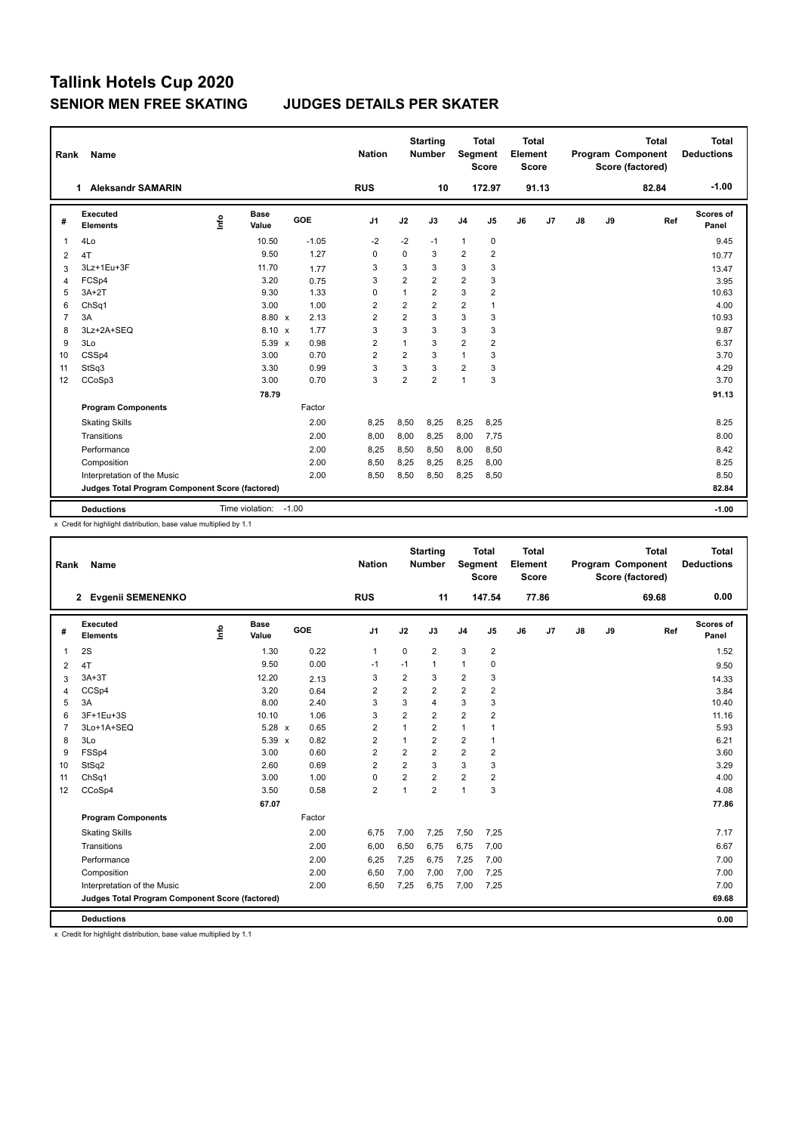| Rank           | <b>Name</b>                                     |      |                 |         | <b>Nation</b>  |                         | <b>Starting</b><br><b>Number</b> | <b>Segment</b> | <b>Total</b><br><b>Score</b> | Total<br>Element<br><b>Score</b> |       |               |    | <b>Total</b><br>Program Component<br>Score (factored) | <b>Total</b><br><b>Deductions</b> |
|----------------|-------------------------------------------------|------|-----------------|---------|----------------|-------------------------|----------------------------------|----------------|------------------------------|----------------------------------|-------|---------------|----|-------------------------------------------------------|-----------------------------------|
|                | <b>Aleksandr SAMARIN</b><br>1                   |      |                 |         | <b>RUS</b>     |                         | 10                               |                | 172.97                       |                                  | 91.13 |               |    | 82.84                                                 | $-1.00$                           |
| #              | Executed<br><b>Elements</b>                     | ١nf٥ | Base<br>Value   | GOE     | J <sub>1</sub> | J2                      | J3                               | J <sub>4</sub> | J <sub>5</sub>               | J6                               | J7    | $\mathsf{J}8$ | J9 | Ref                                                   | Scores of<br>Panel                |
| $\overline{1}$ | 4Lo                                             |      | 10.50           | $-1.05$ | $-2$           | $-2$                    | $-1$                             | $\mathbf{1}$   | 0                            |                                  |       |               |    |                                                       | 9.45                              |
| 2              | 4T                                              |      | 9.50            | 1.27    | 0              | $\mathbf 0$             | 3                                | $\overline{2}$ | $\overline{2}$               |                                  |       |               |    |                                                       | 10.77                             |
| 3              | 3Lz+1Eu+3F                                      |      | 11.70           | 1.77    | 3              | 3                       | 3                                | 3              | 3                            |                                  |       |               |    |                                                       | 13.47                             |
| 4              | FCSp4                                           |      | 3.20            | 0.75    | 3              | $\overline{2}$          | $\overline{2}$                   | $\overline{2}$ | 3                            |                                  |       |               |    |                                                       | 3.95                              |
| 5              | $3A+2T$                                         |      | 9.30            | 1.33    | $\Omega$       | $\mathbf{1}$            | $\overline{\mathbf{c}}$          | 3              | 2                            |                                  |       |               |    |                                                       | 10.63                             |
| 6              | ChSq1                                           |      | 3.00            | 1.00    | $\overline{2}$ | $\overline{\mathbf{c}}$ | $\overline{2}$                   | $\overline{2}$ | 1                            |                                  |       |               |    |                                                       | 4.00                              |
| $\overline{7}$ | 3A                                              |      | 8.80 x          | 2.13    | $\overline{2}$ | $\overline{2}$          | 3                                | 3              | 3                            |                                  |       |               |    |                                                       | 10.93                             |
| 8              | 3Lz+2A+SEQ                                      |      | $8.10 \times$   | 1.77    | 3              | 3                       | 3                                | 3              | 3                            |                                  |       |               |    |                                                       | 9.87                              |
| 9              | 3Lo                                             |      | 5.39 x          | 0.98    | $\overline{2}$ | $\overline{1}$          | 3                                | $\overline{2}$ | $\overline{2}$               |                                  |       |               |    |                                                       | 6.37                              |
| 10             | CSSp4                                           |      | 3.00            | 0.70    | $\overline{2}$ | $\overline{2}$          | 3                                | $\mathbf{1}$   | 3                            |                                  |       |               |    |                                                       | 3.70                              |
| 11             | StSq3                                           |      | 3.30            | 0.99    | 3              | 3                       | 3                                | $\overline{2}$ | 3                            |                                  |       |               |    |                                                       | 4.29                              |
| 12             | CCoSp3                                          |      | 3.00            | 0.70    | 3              | $\overline{2}$          | $\overline{2}$                   | $\overline{1}$ | 3                            |                                  |       |               |    |                                                       | 3.70                              |
|                |                                                 |      | 78.79           |         |                |                         |                                  |                |                              |                                  |       |               |    |                                                       | 91.13                             |
|                | <b>Program Components</b>                       |      |                 | Factor  |                |                         |                                  |                |                              |                                  |       |               |    |                                                       |                                   |
|                | <b>Skating Skills</b>                           |      |                 | 2.00    | 8,25           | 8,50                    | 8.25                             | 8,25           | 8,25                         |                                  |       |               |    |                                                       | 8.25                              |
|                | Transitions                                     |      |                 | 2.00    | 8,00           | 8,00                    | 8,25                             | 8,00           | 7,75                         |                                  |       |               |    |                                                       | 8.00                              |
|                | Performance                                     |      |                 | 2.00    | 8,25           | 8,50                    | 8,50                             | 8,00           | 8,50                         |                                  |       |               |    |                                                       | 8.42                              |
|                | Composition                                     |      |                 | 2.00    | 8,50           | 8,25                    | 8.25                             | 8,25           | 8,00                         |                                  |       |               |    |                                                       | 8.25                              |
|                | Interpretation of the Music                     |      |                 | 2.00    | 8,50           | 8,50                    | 8,50                             | 8,25           | 8,50                         |                                  |       |               |    |                                                       | 8.50                              |
|                | Judges Total Program Component Score (factored) |      |                 |         |                |                         |                                  |                |                              |                                  |       |               |    |                                                       | 82.84                             |
|                | <b>Deductions</b>                               |      | Time violation: | $-1.00$ |                |                         |                                  |                |                              |                                  |       |               |    |                                                       | $-1.00$                           |

x Credit for highlight distribution, base value multiplied by 1.1

| Rank           | Name                                            |      |                      |        | <b>Nation</b>  |                         | <b>Starting</b><br><b>Number</b> | <b>Segment</b>          | <b>Total</b><br><b>Score</b> | <b>Total</b><br>Element<br><b>Score</b> |       |    |    | <b>Total</b><br>Program Component<br>Score (factored) | <b>Total</b><br><b>Deductions</b> |
|----------------|-------------------------------------------------|------|----------------------|--------|----------------|-------------------------|----------------------------------|-------------------------|------------------------------|-----------------------------------------|-------|----|----|-------------------------------------------------------|-----------------------------------|
|                | 2 Evgenii SEMENENKO                             |      |                      |        | <b>RUS</b>     |                         | 11                               |                         | 147.54                       |                                         | 77.86 |    |    | 69.68                                                 | 0.00                              |
| #              | Executed<br><b>Elements</b>                     | ١nfo | <b>Base</b><br>Value | GOE    | J <sub>1</sub> | J2                      | J3                               | J <sub>4</sub>          | J <sub>5</sub>               | J6                                      | J7    | J8 | J9 | Ref                                                   | Scores of<br>Panel                |
| $\mathbf{1}$   | 2S                                              |      | 1.30                 | 0.22   | $\overline{1}$ | $\mathbf 0$             | $\overline{2}$                   | 3                       | $\overline{\mathbf{c}}$      |                                         |       |    |    |                                                       | 1.52                              |
| 2              | 4T                                              |      | 9.50                 | 0.00   | -1             | $-1$                    | $\mathbf{1}$                     | $\mathbf{1}$            | 0                            |                                         |       |    |    |                                                       | 9.50                              |
| 3              | $3A+3T$                                         |      | 12.20                | 2.13   | 3              | $\overline{2}$          | 3                                | $\overline{2}$          | 3                            |                                         |       |    |    |                                                       | 14.33                             |
| $\overline{4}$ | CCSp4                                           |      | 3.20                 | 0.64   | 2              | $\overline{2}$          | $\overline{2}$                   | $\overline{\mathbf{c}}$ | 2                            |                                         |       |    |    |                                                       | 3.84                              |
| 5              | 3A                                              |      | 8.00                 | 2.40   | 3              | 3                       | $\overline{4}$                   | 3                       | 3                            |                                         |       |    |    |                                                       | 10.40                             |
| 6              | 3F+1Eu+3S                                       |      | 10.10                | 1.06   | 3              | $\overline{2}$          | $\overline{2}$                   | $\overline{2}$          | $\overline{2}$               |                                         |       |    |    |                                                       | 11.16                             |
| $\overline{7}$ | 3Lo+1A+SEQ                                      |      | 5.28 x               | 0.65   | $\overline{2}$ | $\mathbf{1}$            | $\overline{2}$                   | $\mathbf{1}$            | 1                            |                                         |       |    |    |                                                       | 5.93                              |
| 8              | 3Lo                                             |      | 5.39 x               | 0.82   | $\overline{2}$ | $\mathbf{1}$            | $\overline{2}$                   | $\overline{2}$          | $\overline{1}$               |                                         |       |    |    |                                                       | 6.21                              |
| 9              | FSSp4                                           |      | 3.00                 | 0.60   | 2              | $\overline{\mathbf{c}}$ | $\overline{2}$                   | $\overline{\mathbf{c}}$ | 2                            |                                         |       |    |    |                                                       | 3.60                              |
| 10             | StSq2                                           |      | 2.60                 | 0.69   | $\overline{2}$ | $\overline{2}$          | 3                                | 3                       | 3                            |                                         |       |    |    |                                                       | 3.29                              |
| 11             | ChSq1                                           |      | 3.00                 | 1.00   | $\mathbf 0$    | $\overline{2}$          | $\overline{2}$                   | $\overline{2}$          | 2                            |                                         |       |    |    |                                                       | 4.00                              |
| 12             | CCoSp4                                          |      | 3.50                 | 0.58   | $\overline{2}$ | 1                       | $\overline{2}$                   | 1                       | 3                            |                                         |       |    |    |                                                       | 4.08                              |
|                |                                                 |      | 67.07                |        |                |                         |                                  |                         |                              |                                         |       |    |    |                                                       | 77.86                             |
|                | <b>Program Components</b>                       |      |                      | Factor |                |                         |                                  |                         |                              |                                         |       |    |    |                                                       |                                   |
|                | <b>Skating Skills</b>                           |      |                      | 2.00   | 6,75           | 7,00                    | 7.25                             | 7,50                    | 7,25                         |                                         |       |    |    |                                                       | 7.17                              |
|                | Transitions                                     |      |                      | 2.00   | 6,00           | 6,50                    | 6,75                             | 6,75                    | 7,00                         |                                         |       |    |    |                                                       | 6.67                              |
|                | Performance                                     |      |                      | 2.00   | 6,25           | 7,25                    | 6,75                             | 7,25                    | 7,00                         |                                         |       |    |    |                                                       | 7.00                              |
|                | Composition                                     |      |                      | 2.00   | 6,50           | 7,00                    | 7,00                             | 7,00                    | 7,25                         |                                         |       |    |    |                                                       | 7.00                              |
|                | Interpretation of the Music                     |      |                      | 2.00   | 6,50           | 7,25                    | 6,75                             | 7,00                    | 7,25                         |                                         |       |    |    |                                                       | 7.00                              |
|                | Judges Total Program Component Score (factored) |      |                      |        |                |                         |                                  |                         |                              |                                         |       |    |    |                                                       | 69.68                             |
|                | <b>Deductions</b>                               |      |                      |        |                |                         |                                  |                         |                              |                                         |       |    |    |                                                       | 0.00                              |

x Credit for highlight distribution, base value multiplied by 1.1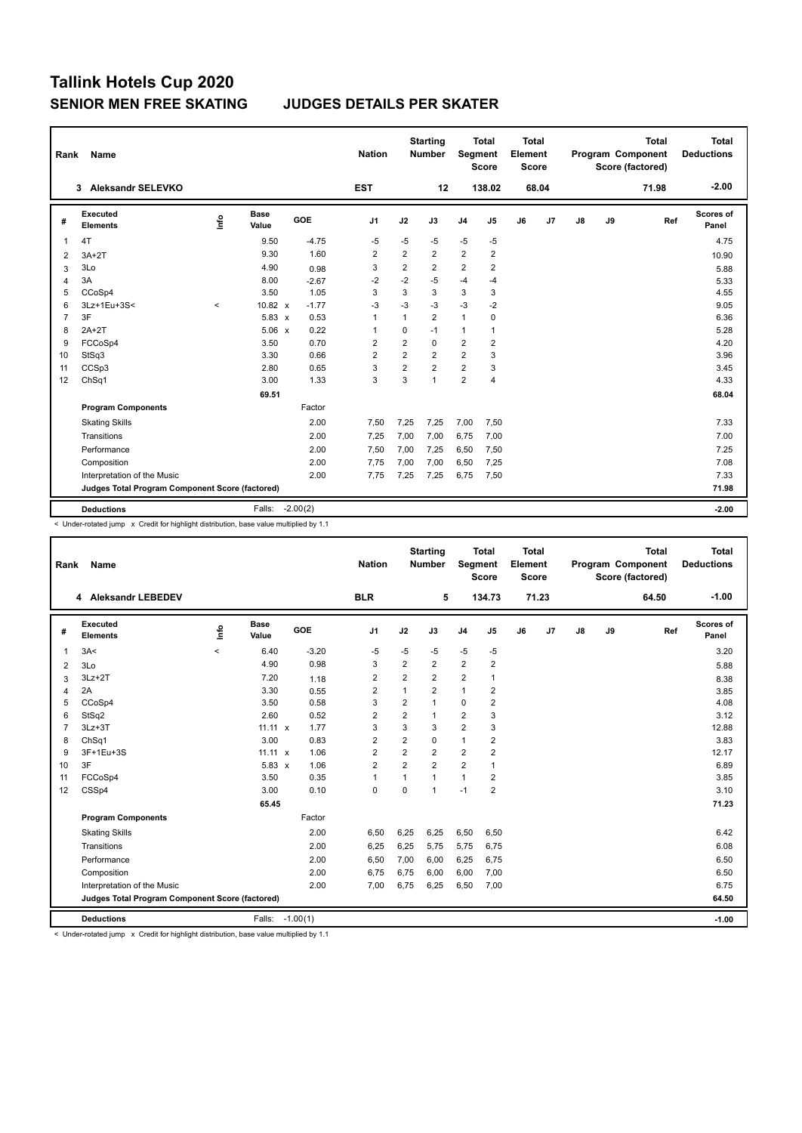| Rank           | <b>Name</b>                                     |          |               |            | <b>Nation</b>  |                         | <b>Starting</b><br><b>Number</b> | <b>Segment</b>          | <b>Total</b><br><b>Score</b> | Total<br>Element<br><b>Score</b> |       |               |    | <b>Total</b><br>Program Component<br>Score (factored) | <b>Total</b><br><b>Deductions</b> |
|----------------|-------------------------------------------------|----------|---------------|------------|----------------|-------------------------|----------------------------------|-------------------------|------------------------------|----------------------------------|-------|---------------|----|-------------------------------------------------------|-----------------------------------|
|                | <b>Aleksandr SELEVKO</b><br>3                   |          |               |            | <b>EST</b>     |                         | 12                               |                         | 138.02                       |                                  | 68.04 |               |    | 71.98                                                 | $-2.00$                           |
| #              | Executed<br><b>Elements</b>                     | Lnfo     | Base<br>Value | GOE        | J <sub>1</sub> | J2                      | J3                               | J <sub>4</sub>          | J5                           | J6                               | J7    | $\mathsf{J}8$ | J9 | Ref                                                   | Scores of<br>Panel                |
| 1              | 4T                                              |          | 9.50          | $-4.75$    | $-5$           | $-5$                    | $-5$                             | $-5$                    | $-5$                         |                                  |       |               |    |                                                       | 4.75                              |
| 2              | $3A+2T$                                         |          | 9.30          | 1.60       | $\overline{2}$ | $\overline{2}$          | $\overline{\mathbf{c}}$          | $\overline{2}$          | $\overline{2}$               |                                  |       |               |    |                                                       | 10.90                             |
| 3              | 3Lo                                             |          | 4.90          | 0.98       | 3              | $\overline{2}$          | $\overline{2}$                   | $\overline{2}$          | $\overline{2}$               |                                  |       |               |    |                                                       | 5.88                              |
| 4              | 3A                                              |          | 8.00          | $-2.67$    | $-2$           | $-2$                    | $-5$                             | $-4$                    | $-4$                         |                                  |       |               |    |                                                       | 5.33                              |
| 5              | CCoSp4                                          |          | 3.50          | 1.05       | 3              | 3                       | 3                                | 3                       | 3                            |                                  |       |               |    |                                                       | 4.55                              |
| 6              | 3Lz+1Eu+3S<                                     | $\hat{}$ | 10.82 x       | $-1.77$    | -3             | $-3$                    | $-3$                             | $-3$                    | $-2$                         |                                  |       |               |    |                                                       | 9.05                              |
| $\overline{7}$ | 3F                                              |          | 5.83 x        | 0.53       | $\mathbf{1}$   | $\mathbf{1}$            | $\overline{2}$                   | $\mathbf{1}$            | $\mathbf 0$                  |                                  |       |               |    |                                                       | 6.36                              |
| 8              | $2A+2T$                                         |          | $5.06 \times$ | 0.22       | $\mathbf{1}$   | $\mathbf 0$             | $-1$                             | $\mathbf{1}$            | 1                            |                                  |       |               |    |                                                       | 5.28                              |
| 9              | FCCoSp4                                         |          | 3.50          | 0.70       | $\overline{2}$ | $\overline{\mathbf{c}}$ | $\Omega$                         | $\overline{\mathbf{c}}$ | 2                            |                                  |       |               |    |                                                       | 4.20                              |
| 10             | StSq3                                           |          | 3.30          | 0.66       | $\overline{2}$ | $\overline{2}$          | $\overline{2}$                   | $\overline{2}$          | 3                            |                                  |       |               |    |                                                       | 3.96                              |
| 11             | CCSp3                                           |          | 2.80          | 0.65       | 3              | $\overline{2}$          | $\overline{2}$                   | $\overline{2}$          | 3                            |                                  |       |               |    |                                                       | 3.45                              |
| 12             | ChSq1                                           |          | 3.00          | 1.33       | 3              | 3                       | $\mathbf{1}$                     | $\overline{2}$          | 4                            |                                  |       |               |    |                                                       | 4.33                              |
|                |                                                 |          | 69.51         |            |                |                         |                                  |                         |                              |                                  |       |               |    |                                                       | 68.04                             |
|                | <b>Program Components</b>                       |          |               | Factor     |                |                         |                                  |                         |                              |                                  |       |               |    |                                                       |                                   |
|                | <b>Skating Skills</b>                           |          |               | 2.00       | 7,50           | 7,25                    | 7.25                             | 7,00                    | 7,50                         |                                  |       |               |    |                                                       | 7.33                              |
|                | Transitions                                     |          |               | 2.00       | 7,25           | 7,00                    | 7.00                             | 6,75                    | 7,00                         |                                  |       |               |    |                                                       | 7.00                              |
|                | Performance                                     |          |               | 2.00       | 7,50           | 7,00                    | 7,25                             | 6,50                    | 7,50                         |                                  |       |               |    |                                                       | 7.25                              |
|                | Composition                                     |          |               | 2.00       | 7.75           | 7,00                    | 7.00                             | 6,50                    | 7,25                         |                                  |       |               |    |                                                       | 7.08                              |
|                | Interpretation of the Music                     |          |               | 2.00       | 7,75           | 7,25                    | 7,25                             | 6,75                    | 7,50                         |                                  |       |               |    |                                                       | 7.33                              |
|                | Judges Total Program Component Score (factored) |          |               |            |                |                         |                                  |                         |                              |                                  |       |               |    |                                                       | 71.98                             |
|                | <b>Deductions</b>                               |          | Falls:        | $-2.00(2)$ |                |                         |                                  |                         |                              |                                  |       |               |    |                                                       | $-2.00$                           |

< Under-rotated jump x Credit for highlight distribution, base value multiplied by 1.1

| Rank           | Name                                            |          |                      |                 | <b>Nation</b>           |                | <b>Starting</b><br><b>Number</b> | Segment        | <b>Total</b><br><b>Score</b> | Total<br>Element<br><b>Score</b> |       |               |    | <b>Total</b><br><b>Program Component</b><br>Score (factored) | <b>Total</b><br><b>Deductions</b> |
|----------------|-------------------------------------------------|----------|----------------------|-----------------|-------------------------|----------------|----------------------------------|----------------|------------------------------|----------------------------------|-------|---------------|----|--------------------------------------------------------------|-----------------------------------|
|                | 4 Aleksandr LEBEDEV                             |          |                      |                 | <b>BLR</b>              |                | 5                                |                | 134.73                       |                                  | 71.23 |               |    | 64.50                                                        | $-1.00$                           |
| #              | Executed<br><b>Elements</b>                     | lnfo     | <b>Base</b><br>Value | GOE             | J1                      | J2             | J3                               | J <sub>4</sub> | J5                           | J6                               | J7    | $\mathsf{J}8$ | J9 | Ref                                                          | Scores of<br>Panel                |
| 1              | 3A<                                             | $\hat{}$ | 6.40                 | $-3.20$         | $-5$                    | $-5$           | $-5$                             | $-5$           | $-5$                         |                                  |       |               |    |                                                              | 3.20                              |
| $\overline{2}$ | 3Lo                                             |          | 4.90                 | 0.98            | 3                       | $\overline{2}$ | $\overline{2}$                   | $\overline{2}$ | $\overline{2}$               |                                  |       |               |    |                                                              | 5.88                              |
| 3              | $3Lz + 2T$                                      |          | 7.20                 | 1.18            | $\overline{\mathbf{c}}$ | $\overline{2}$ | $\overline{2}$                   | 2              | $\mathbf{1}$                 |                                  |       |               |    |                                                              | 8.38                              |
| 4              | 2A                                              |          | 3.30                 | 0.55            | $\overline{\mathbf{c}}$ | 1              | $\overline{2}$                   | 1              | $\overline{\mathbf{c}}$      |                                  |       |               |    |                                                              | 3.85                              |
| 5              | CCoSp4                                          |          | 3.50                 | 0.58            | 3                       | $\overline{2}$ | $\mathbf{1}$                     | $\mathbf 0$    | $\overline{2}$               |                                  |       |               |    |                                                              | 4.08                              |
| 6              | StSq2                                           |          | 2.60                 | 0.52            | $\overline{2}$          | $\overline{2}$ | $\mathbf{1}$                     | $\overline{2}$ | 3                            |                                  |       |               |    |                                                              | 3.12                              |
| $\overline{7}$ | $3Lz + 3T$                                      |          | $11.11 \times$       | 1.77            | 3                       | 3              | 3                                | $\overline{2}$ | 3                            |                                  |       |               |    |                                                              | 12.88                             |
| 8              | ChSq1                                           |          | 3.00                 | 0.83            | $\overline{2}$          | $\overline{2}$ | 0                                | 1              | 2                            |                                  |       |               |    |                                                              | 3.83                              |
| 9              | 3F+1Eu+3S                                       |          | $11.11 \times$       | 1.06            | $\overline{2}$          | $\overline{2}$ | $\overline{2}$                   | $\overline{2}$ | $\overline{2}$               |                                  |       |               |    |                                                              | 12.17                             |
| 10             | 3F                                              |          | $5.83 \times$        | 1.06            | $\overline{2}$          | $\overline{2}$ | $\overline{2}$                   | $\overline{2}$ | $\mathbf{1}$                 |                                  |       |               |    |                                                              | 6.89                              |
| 11             | FCCoSp4                                         |          | 3.50                 | 0.35            | $\overline{1}$          | $\mathbf{1}$   | $\mathbf{1}$                     | $\mathbf{1}$   | $\overline{2}$               |                                  |       |               |    |                                                              | 3.85                              |
| 12             | CSSp4                                           |          | 3.00                 | 0.10            | $\mathbf 0$             | $\Omega$       | $\mathbf{1}$                     | $-1$           | $\overline{2}$               |                                  |       |               |    |                                                              | 3.10                              |
|                |                                                 |          | 65.45                |                 |                         |                |                                  |                |                              |                                  |       |               |    |                                                              | 71.23                             |
|                | <b>Program Components</b>                       |          |                      | Factor          |                         |                |                                  |                |                              |                                  |       |               |    |                                                              |                                   |
|                | <b>Skating Skills</b>                           |          |                      | 2.00            | 6,50                    | 6,25           | 6,25                             | 6,50           | 6,50                         |                                  |       |               |    |                                                              | 6.42                              |
|                | Transitions                                     |          |                      | 2.00            | 6,25                    | 6,25           | 5,75                             | 5,75           | 6,75                         |                                  |       |               |    |                                                              | 6.08                              |
|                | Performance                                     |          |                      | 2.00            | 6,50                    | 7,00           | 6,00                             | 6,25           | 6,75                         |                                  |       |               |    |                                                              | 6.50                              |
|                | Composition                                     |          |                      | 2.00            | 6,75                    | 6,75           | 6,00                             | 6,00           | 7,00                         |                                  |       |               |    |                                                              | 6.50                              |
|                | Interpretation of the Music                     |          |                      | 2.00            | 7,00                    | 6,75           | 6,25                             | 6,50           | 7,00                         |                                  |       |               |    |                                                              | 6.75                              |
|                | Judges Total Program Component Score (factored) |          |                      |                 |                         |                |                                  |                |                              |                                  |       |               |    |                                                              | 64.50                             |
|                | <b>Deductions</b>                               |          |                      | Falls: -1.00(1) |                         |                |                                  |                |                              |                                  |       |               |    |                                                              | $-1.00$                           |

< Under-rotated jump x Credit for highlight distribution, base value multiplied by 1.1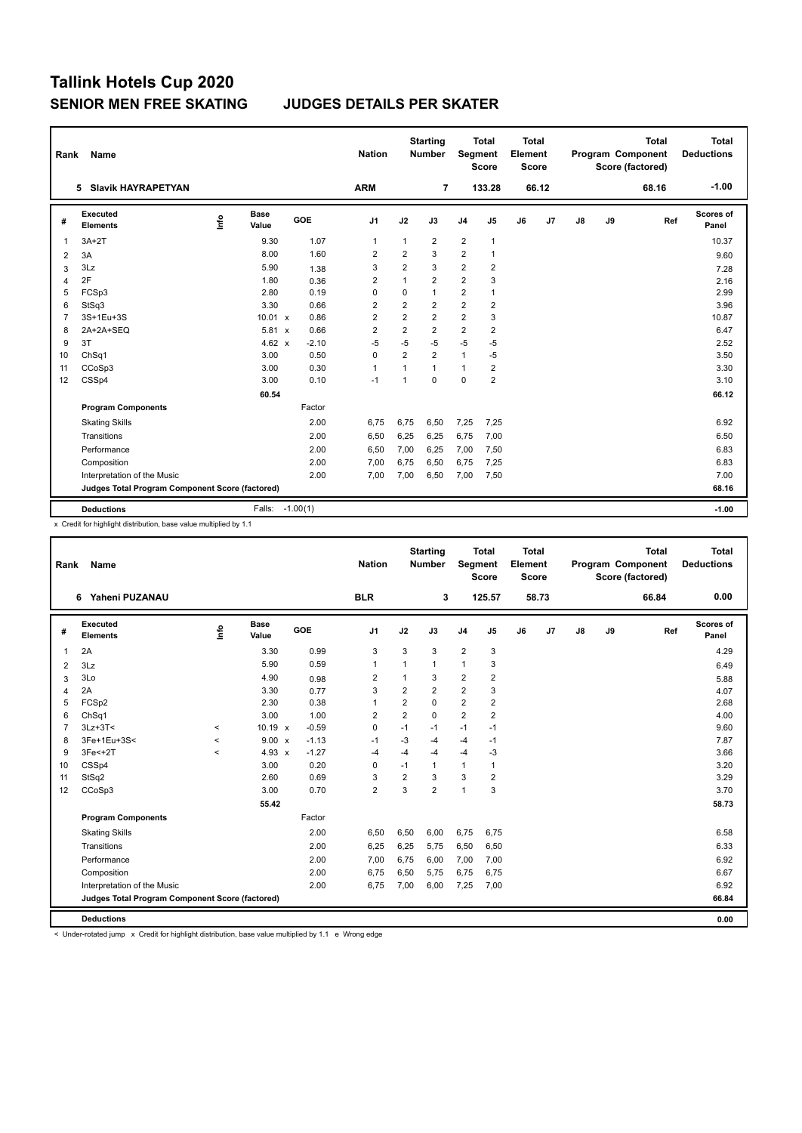| Rank           | <b>Name</b>                                     |      |                      |            | <b>Nation</b>  |                | <b>Starting</b><br><b>Number</b> | Segment        | <b>Total</b><br><b>Score</b> | Total<br>Element<br><b>Score</b> |       |               |    | <b>Total</b><br>Program Component<br>Score (factored) | Total<br><b>Deductions</b> |
|----------------|-------------------------------------------------|------|----------------------|------------|----------------|----------------|----------------------------------|----------------|------------------------------|----------------------------------|-------|---------------|----|-------------------------------------------------------|----------------------------|
|                | <b>Slavik HAYRAPETYAN</b><br>5                  |      |                      |            | <b>ARM</b>     |                | 7                                |                | 133.28                       |                                  | 66.12 |               |    | 68.16                                                 | $-1.00$                    |
| #              | Executed<br><b>Elements</b>                     | Lnfo | <b>Base</b><br>Value | GOE        | J1             | J2             | J3                               | J <sub>4</sub> | J5                           | J6                               | J7    | $\mathsf{J}8$ | J9 | Ref                                                   | Scores of<br>Panel         |
| $\mathbf{1}$   | $3A+2T$                                         |      | 9.30                 | 1.07       | $\mathbf{1}$   | $\overline{1}$ | $\overline{2}$                   | $\overline{2}$ | $\mathbf{1}$                 |                                  |       |               |    |                                                       | 10.37                      |
| 2              | 3A                                              |      | 8.00                 | 1.60       | $\overline{2}$ | $\overline{2}$ | 3                                | $\overline{2}$ | 1                            |                                  |       |               |    |                                                       | 9.60                       |
| 3              | 3Lz                                             |      | 5.90                 | 1.38       | 3              | $\overline{2}$ | 3                                | $\overline{2}$ | $\overline{2}$               |                                  |       |               |    |                                                       | 7.28                       |
| $\overline{4}$ | 2F                                              |      | 1.80                 | 0.36       | $\overline{2}$ | $\overline{1}$ | $\overline{2}$                   | $\overline{2}$ | 3                            |                                  |       |               |    |                                                       | 2.16                       |
| 5              | FCSp3                                           |      | 2.80                 | 0.19       | $\mathbf 0$    | $\mathbf 0$    | $\mathbf{1}$                     | $\overline{2}$ | 1                            |                                  |       |               |    |                                                       | 2.99                       |
| 6              | StSq3                                           |      | 3.30                 | 0.66       | $\overline{2}$ | $\overline{2}$ | $\overline{2}$                   | $\overline{2}$ | 2                            |                                  |       |               |    |                                                       | 3.96                       |
| $\overline{7}$ | 3S+1Eu+3S                                       |      | 10.01 x              | 0.86       | $\overline{2}$ | $\overline{2}$ | $\overline{2}$                   | $\overline{2}$ | 3                            |                                  |       |               |    |                                                       | 10.87                      |
| 8              | 2A+2A+SEQ                                       |      | $5.81 \times$        | 0.66       | $\overline{2}$ | $\overline{2}$ | $\overline{2}$                   | $\overline{2}$ | 2                            |                                  |       |               |    |                                                       | 6.47                       |
| 9              | 3T                                              |      | 4.62 $x$             | $-2.10$    | -5             | $-5$           | $-5$                             | $-5$           | $-5$                         |                                  |       |               |    |                                                       | 2.52                       |
| 10             | ChSq1                                           |      | 3.00                 | 0.50       | 0              | $\overline{2}$ | $\overline{2}$                   | $\mathbf{1}$   | $-5$                         |                                  |       |               |    |                                                       | 3.50                       |
| 11             | CCoSp3                                          |      | 3.00                 | 0.30       | $\mathbf{1}$   |                | 1                                | $\mathbf{1}$   | 2                            |                                  |       |               |    |                                                       | 3.30                       |
| 12             | CSSp4                                           |      | 3.00                 | 0.10       | $-1$           | 1              | $\Omega$                         | $\mathbf 0$    | $\overline{2}$               |                                  |       |               |    |                                                       | 3.10                       |
|                |                                                 |      | 60.54                |            |                |                |                                  |                |                              |                                  |       |               |    |                                                       | 66.12                      |
|                | <b>Program Components</b>                       |      |                      | Factor     |                |                |                                  |                |                              |                                  |       |               |    |                                                       |                            |
|                | <b>Skating Skills</b>                           |      |                      | 2.00       | 6.75           | 6,75           | 6,50                             | 7,25           | 7,25                         |                                  |       |               |    |                                                       | 6.92                       |
|                | Transitions                                     |      |                      | 2.00       | 6,50           | 6,25           | 6,25                             | 6,75           | 7,00                         |                                  |       |               |    |                                                       | 6.50                       |
|                | Performance                                     |      |                      | 2.00       | 6,50           | 7,00           | 6,25                             | 7,00           | 7,50                         |                                  |       |               |    |                                                       | 6.83                       |
|                | Composition                                     |      |                      | 2.00       | 7,00           | 6,75           | 6,50                             | 6,75           | 7,25                         |                                  |       |               |    |                                                       | 6.83                       |
|                | Interpretation of the Music                     |      |                      | 2.00       | 7.00           | 7,00           | 6,50                             | 7,00           | 7,50                         |                                  |       |               |    |                                                       | 7.00                       |
|                | Judges Total Program Component Score (factored) |      |                      |            |                |                |                                  |                |                              |                                  |       |               |    |                                                       | 68.16                      |
|                | <b>Deductions</b>                               |      | Falls:               | $-1.00(1)$ |                |                |                                  |                |                              |                                  |       |               |    |                                                       | $-1.00$                    |

x Credit for highlight distribution, base value multiplied by 1.1

| Rank           | Name                                            |         |                      |         | <b>Nation</b>  |                | <b>Starting</b><br><b>Number</b> | Segment        | <b>Total</b><br><b>Score</b> | <b>Total</b><br>Element<br><b>Score</b> |       |               |    | <b>Total</b><br>Program Component<br>Score (factored) | <b>Total</b><br><b>Deductions</b> |
|----------------|-------------------------------------------------|---------|----------------------|---------|----------------|----------------|----------------------------------|----------------|------------------------------|-----------------------------------------|-------|---------------|----|-------------------------------------------------------|-----------------------------------|
|                | Yaheni PUZANAU<br>6                             |         |                      |         | <b>BLR</b>     |                | 3                                |                | 125.57                       |                                         | 58.73 |               |    | 66.84                                                 | 0.00                              |
| #              | Executed<br><b>Elements</b>                     | lnfo    | <b>Base</b><br>Value | GOE     | J <sub>1</sub> | J2             | J3                               | J <sub>4</sub> | J <sub>5</sub>               | J6                                      | J7    | $\mathsf{J}8$ | J9 | Ref                                                   | Scores of<br>Panel                |
| $\overline{1}$ | 2A                                              |         | 3.30                 | 0.99    | 3              | 3              | 3                                | $\overline{2}$ | 3                            |                                         |       |               |    |                                                       | 4.29                              |
| $\overline{2}$ | 3Lz                                             |         | 5.90                 | 0.59    | $\mathbf{1}$   | $\mathbf{1}$   | $\mathbf{1}$                     | $\mathbf{1}$   | 3                            |                                         |       |               |    |                                                       | 6.49                              |
| 3              | 3Lo                                             |         | 4.90                 | 0.98    | $\overline{2}$ | 1              | 3                                | $\overline{2}$ | $\overline{2}$               |                                         |       |               |    |                                                       | 5.88                              |
| $\overline{4}$ | 2A                                              |         | 3.30                 | 0.77    | 3              | $\overline{2}$ | $\overline{2}$                   | $\overline{2}$ | 3                            |                                         |       |               |    |                                                       | 4.07                              |
| 5              | FCSp2                                           |         | 2.30                 | 0.38    | 1              | 2              | $\mathbf 0$                      | $\overline{2}$ | $\overline{\mathbf{c}}$      |                                         |       |               |    |                                                       | 2.68                              |
| 6              | ChSq1                                           |         | 3.00                 | 1.00    | 2              | $\overline{2}$ | $\mathbf 0$                      | $\overline{2}$ | 2                            |                                         |       |               |    |                                                       | 4.00                              |
| $\overline{7}$ | $3Lz + 3T <$                                    | $\,<$   | $10.19 \times$       | $-0.59$ | 0              | $-1$           | $-1$                             | $-1$           | $-1$                         |                                         |       |               |    |                                                       | 9.60                              |
| 8              | 3Fe+1Eu+3S<                                     | $\,<$   | $9.00 \times$        | $-1.13$ | $-1$           | $-3$           | $-4$                             | $-4$           | $-1$                         |                                         |       |               |    |                                                       | 7.87                              |
| 9              | $3Fe+2T$                                        | $\prec$ | 4.93 $\times$        | $-1.27$ | $-4$           | $-4$           | $-4$                             | $-4$           | $-3$                         |                                         |       |               |    |                                                       | 3.66                              |
| 10             | CSSp4                                           |         | 3.00                 | 0.20    | 0              | $-1$           | $\mathbf{1}$                     | $\mathbf{1}$   | $\mathbf{1}$                 |                                         |       |               |    |                                                       | 3.20                              |
| 11             | StSq2                                           |         | 2.60                 | 0.69    | 3              | 2              | 3                                | 3              | $\overline{2}$               |                                         |       |               |    |                                                       | 3.29                              |
| 12             | CCoSp3                                          |         | 3.00                 | 0.70    | $\overline{2}$ | 3              | $\overline{2}$                   | $\mathbf{1}$   | 3                            |                                         |       |               |    |                                                       | 3.70                              |
|                |                                                 |         | 55.42                |         |                |                |                                  |                |                              |                                         |       |               |    |                                                       | 58.73                             |
|                | <b>Program Components</b>                       |         |                      | Factor  |                |                |                                  |                |                              |                                         |       |               |    |                                                       |                                   |
|                | <b>Skating Skills</b>                           |         |                      | 2.00    | 6,50           | 6,50           | 6,00                             | 6,75           | 6,75                         |                                         |       |               |    |                                                       | 6.58                              |
|                | Transitions                                     |         |                      | 2.00    | 6,25           | 6,25           | 5,75                             | 6,50           | 6,50                         |                                         |       |               |    |                                                       | 6.33                              |
|                | Performance                                     |         |                      | 2.00    | 7,00           | 6,75           | 6,00                             | 7,00           | 7,00                         |                                         |       |               |    |                                                       | 6.92                              |
|                | Composition                                     |         |                      | 2.00    | 6,75           | 6,50           | 5,75                             | 6,75           | 6,75                         |                                         |       |               |    |                                                       | 6.67                              |
|                | Interpretation of the Music                     |         |                      | 2.00    | 6,75           | 7,00           | 6,00                             | 7,25           | 7,00                         |                                         |       |               |    |                                                       | 6.92                              |
|                | Judges Total Program Component Score (factored) |         |                      |         |                |                |                                  |                |                              |                                         |       |               |    |                                                       | 66.84                             |
|                | <b>Deductions</b>                               |         |                      |         |                |                |                                  |                |                              |                                         |       |               |    |                                                       | 0.00                              |

< Under-rotated jump x Credit for highlight distribution, base value multiplied by 1.1 e Wrong edge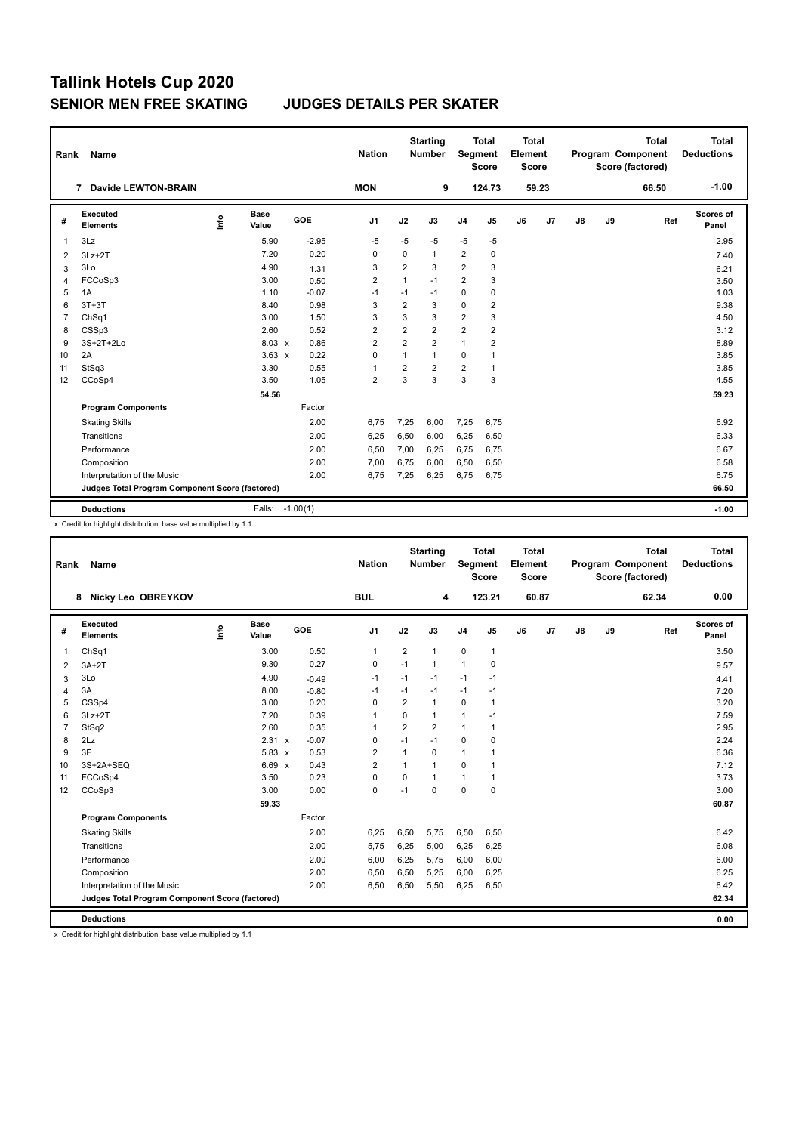| Rank           | Name                                            |      |               |            | <b>Nation</b>  |                         | <b>Starting</b><br><b>Number</b> | <b>Segment</b> | <b>Total</b><br><b>Score</b> | Total<br>Element<br><b>Score</b> |       |               |    | <b>Total</b><br>Program Component<br>Score (factored) | <b>Total</b><br><b>Deductions</b> |
|----------------|-------------------------------------------------|------|---------------|------------|----------------|-------------------------|----------------------------------|----------------|------------------------------|----------------------------------|-------|---------------|----|-------------------------------------------------------|-----------------------------------|
|                | 7 Davide LEWTON-BRAIN                           |      |               |            | <b>MON</b>     |                         | 9                                |                | 124.73                       |                                  | 59.23 |               |    | 66.50                                                 | $-1.00$                           |
| #              | Executed<br><b>Elements</b>                     | Lnfo | Base<br>Value | GOE        | J <sub>1</sub> | J2                      | J3                               | J <sub>4</sub> | J <sub>5</sub>               | J6                               | J7    | $\mathsf{J}8$ | J9 | Ref                                                   | Scores of<br>Panel                |
| $\mathbf{1}$   | 3Lz                                             |      | 5.90          | $-2.95$    | $-5$           | $-5$                    | $-5$                             | $-5$           | $-5$                         |                                  |       |               |    |                                                       | 2.95                              |
| 2              | $3Lz + 2T$                                      |      | 7.20          | 0.20       | 0              | $\Omega$                | 1                                | $\overline{2}$ | $\mathbf 0$                  |                                  |       |               |    |                                                       | 7.40                              |
| 3              | 3Lo                                             |      | 4.90          | 1.31       | 3              | $\overline{2}$          | 3                                | $\overline{2}$ | 3                            |                                  |       |               |    |                                                       | 6.21                              |
| 4              | FCCoSp3                                         |      | 3.00          | 0.50       | $\overline{2}$ | $\mathbf{1}$            | $-1$                             | $\overline{2}$ | 3                            |                                  |       |               |    |                                                       | 3.50                              |
| 5              | 1A                                              |      | 1.10          | $-0.07$    | $-1$           | $-1$                    | $-1$                             | 0              | 0                            |                                  |       |               |    |                                                       | 1.03                              |
| 6              | $3T+3T$                                         |      | 8.40          | 0.98       | 3              | $\overline{\mathbf{c}}$ | 3                                | $\mathbf 0$    | 2                            |                                  |       |               |    |                                                       | 9.38                              |
| $\overline{7}$ | ChSq1                                           |      | 3.00          | 1.50       | 3              | 3                       | 3                                | $\overline{2}$ | 3                            |                                  |       |               |    |                                                       | 4.50                              |
| 8              | CSSp3                                           |      | 2.60          | 0.52       | $\overline{2}$ | $\overline{2}$          | $\overline{2}$                   | $\overline{2}$ | $\overline{2}$               |                                  |       |               |    |                                                       | 3.12                              |
| 9              | 3S+2T+2Lo                                       |      | $8.03 \times$ | 0.86       | $\overline{2}$ | $\overline{2}$          | $\overline{2}$                   | $\mathbf{1}$   | $\overline{2}$               |                                  |       |               |    |                                                       | 8.89                              |
| 10             | 2A                                              |      | $3.63 \times$ | 0.22       | 0              | $\mathbf{1}$            | 1                                | 0              | 1                            |                                  |       |               |    |                                                       | 3.85                              |
| 11             | StSq3                                           |      | 3.30          | 0.55       | 1              | $\overline{2}$          | $\overline{2}$                   | $\overline{2}$ | 1                            |                                  |       |               |    |                                                       | 3.85                              |
| 12             | CCoSp4                                          |      | 3.50          | 1.05       | $\overline{2}$ | 3                       | 3                                | 3              | 3                            |                                  |       |               |    |                                                       | 4.55                              |
|                |                                                 |      | 54.56         |            |                |                         |                                  |                |                              |                                  |       |               |    |                                                       | 59.23                             |
|                | <b>Program Components</b>                       |      |               | Factor     |                |                         |                                  |                |                              |                                  |       |               |    |                                                       |                                   |
|                | <b>Skating Skills</b>                           |      |               | 2.00       | 6.75           | 7,25                    | 6.00                             | 7,25           | 6,75                         |                                  |       |               |    |                                                       | 6.92                              |
|                | Transitions                                     |      |               | 2.00       | 6,25           | 6,50                    | 6,00                             | 6,25           | 6,50                         |                                  |       |               |    |                                                       | 6.33                              |
|                | Performance                                     |      |               | 2.00       | 6,50           | 7,00                    | 6,25                             | 6,75           | 6,75                         |                                  |       |               |    |                                                       | 6.67                              |
|                | Composition                                     |      |               | 2.00       | 7.00           | 6,75                    | 6,00                             | 6,50           | 6,50                         |                                  |       |               |    |                                                       | 6.58                              |
|                | Interpretation of the Music                     |      |               | 2.00       | 6,75           | 7,25                    | 6,25                             | 6,75           | 6,75                         |                                  |       |               |    |                                                       | 6.75                              |
|                | Judges Total Program Component Score (factored) |      |               |            |                |                         |                                  |                |                              |                                  |       |               |    |                                                       | 66.50                             |
|                | <b>Deductions</b>                               |      | Falls:        | $-1.00(1)$ |                |                         |                                  |                |                              |                                  |       |               |    |                                                       | $-1.00$                           |

x Credit for highlight distribution, base value multiplied by 1.1

| Rank           | <b>Name</b>                                     |      |                      |         | <b>Nation</b>  |                         | <b>Starting</b><br><b>Number</b> | Segment        | <b>Total</b><br><b>Score</b> | <b>Total</b><br>Element<br><b>Score</b> |       |    |    | <b>Total</b><br>Program Component<br>Score (factored) | <b>Total</b><br><b>Deductions</b> |
|----------------|-------------------------------------------------|------|----------------------|---------|----------------|-------------------------|----------------------------------|----------------|------------------------------|-----------------------------------------|-------|----|----|-------------------------------------------------------|-----------------------------------|
|                | Nicky Leo OBREYKOV<br>8                         |      |                      |         | <b>BUL</b>     |                         | 4                                |                | 123.21                       |                                         | 60.87 |    |    | 62.34                                                 | 0.00                              |
| #              | Executed<br><b>Elements</b>                     | ١nfo | <b>Base</b><br>Value | GOE     | J <sub>1</sub> | J2                      | J3                               | J <sub>4</sub> | J <sub>5</sub>               | J6                                      | J7    | J8 | J9 | Ref                                                   | Scores of<br>Panel                |
| $\mathbf{1}$   | ChSq1                                           |      | 3.00                 | 0.50    | $\mathbf{1}$   | $\overline{2}$          | 1                                | $\mathbf 0$    | $\mathbf{1}$                 |                                         |       |    |    |                                                       | 3.50                              |
| 2              | $3A+2T$                                         |      | 9.30                 | 0.27    | $\mathbf 0$    | $-1$                    | $\mathbf{1}$                     | $\mathbf{1}$   | $\mathbf 0$                  |                                         |       |    |    |                                                       | 9.57                              |
| 3              | 3Lo                                             |      | 4.90                 | $-0.49$ | $-1$           | $-1$                    | $-1$                             | $-1$           | $-1$                         |                                         |       |    |    |                                                       | 4.41                              |
| 4              | 3A                                              |      | 8.00                 | $-0.80$ | $-1$           | $-1$                    | $-1$                             | $-1$           | $-1$                         |                                         |       |    |    |                                                       | 7.20                              |
| 5              | CSSp4                                           |      | 3.00                 | 0.20    | $\Omega$       | $\overline{\mathbf{c}}$ | 1                                | $\mathbf 0$    | $\overline{1}$               |                                         |       |    |    |                                                       | 3.20                              |
| 6              | $3Lz + 2T$                                      |      | 7.20                 | 0.39    | 1              | $\Omega$                | $\mathbf{1}$                     | 1              | $-1$                         |                                         |       |    |    |                                                       | 7.59                              |
| $\overline{7}$ | StSq2                                           |      | 2.60                 | 0.35    | $\mathbf{1}$   | $\overline{2}$          | $\overline{2}$                   | $\mathbf{1}$   | $\mathbf{1}$                 |                                         |       |    |    |                                                       | 2.95                              |
| 8              | 2Lz                                             |      | 2.31 x               | $-0.07$ | $\mathbf 0$    | $-1$                    | $-1$                             | $\mathbf 0$    | $\mathbf 0$                  |                                         |       |    |    |                                                       | 2.24                              |
| 9              | 3F                                              |      | $5.83 \times$        | 0.53    | 2              | $\mathbf{1}$            | $\Omega$                         | $\mathbf{1}$   | 1                            |                                         |       |    |    |                                                       | 6.36                              |
| 10             | 3S+2A+SEQ                                       |      | 6.69 x               | 0.43    | $\overline{2}$ | 1                       | $\mathbf{1}$                     | $\Omega$       | 1                            |                                         |       |    |    |                                                       | 7.12                              |
| 11             | FCCoSp4                                         |      | 3.50                 | 0.23    | 0              | 0                       | $\mathbf{1}$                     | $\mathbf{1}$   | $\mathbf{1}$                 |                                         |       |    |    |                                                       | 3.73                              |
| 12             | CCoSp3                                          |      | 3.00                 | 0.00    | $\mathbf 0$    | $-1$                    | $\Omega$                         | 0              | $\mathbf 0$                  |                                         |       |    |    |                                                       | 3.00                              |
|                |                                                 |      | 59.33                |         |                |                         |                                  |                |                              |                                         |       |    |    |                                                       | 60.87                             |
|                | <b>Program Components</b>                       |      |                      | Factor  |                |                         |                                  |                |                              |                                         |       |    |    |                                                       |                                   |
|                | <b>Skating Skills</b>                           |      |                      | 2.00    | 6,25           | 6,50                    | 5,75                             | 6,50           | 6,50                         |                                         |       |    |    |                                                       | 6.42                              |
|                | Transitions                                     |      |                      | 2.00    | 5,75           | 6,25                    | 5,00                             | 6,25           | 6,25                         |                                         |       |    |    |                                                       | 6.08                              |
|                | Performance                                     |      |                      | 2.00    | 6,00           | 6,25                    | 5,75                             | 6,00           | 6,00                         |                                         |       |    |    |                                                       | 6.00                              |
|                | Composition                                     |      |                      | 2.00    | 6,50           | 6,50                    | 5,25                             | 6,00           | 6,25                         |                                         |       |    |    |                                                       | 6.25                              |
|                | Interpretation of the Music                     |      |                      | 2.00    | 6,50           | 6,50                    | 5,50                             | 6,25           | 6,50                         |                                         |       |    |    |                                                       | 6.42                              |
|                | Judges Total Program Component Score (factored) |      |                      |         |                |                         |                                  |                |                              |                                         |       |    |    |                                                       | 62.34                             |
|                | <b>Deductions</b>                               |      |                      |         |                |                         |                                  |                |                              |                                         |       |    |    |                                                       | 0.00                              |

x Credit for highlight distribution, base value multiplied by 1.1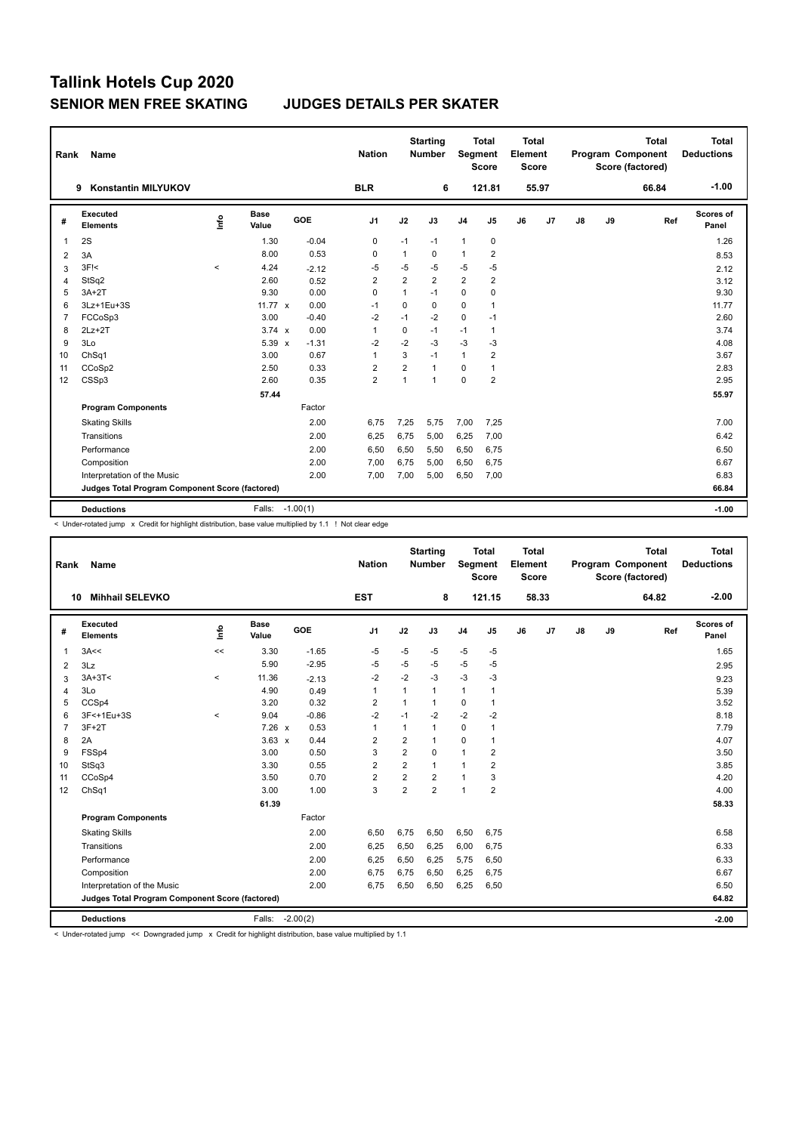| Rank           | <b>Name</b>                                     |         |                      |            | <b>Nation</b>  |                | <b>Starting</b><br><b>Number</b> | Segment        | <b>Total</b><br><b>Score</b> | <b>Total</b><br>Element<br><b>Score</b> |       |               |    | <b>Total</b><br>Program Component<br>Score (factored) | <b>Total</b><br><b>Deductions</b> |
|----------------|-------------------------------------------------|---------|----------------------|------------|----------------|----------------|----------------------------------|----------------|------------------------------|-----------------------------------------|-------|---------------|----|-------------------------------------------------------|-----------------------------------|
|                | 9<br><b>Konstantin MILYUKOV</b>                 |         |                      |            | <b>BLR</b>     |                | 6                                |                | 121.81                       |                                         | 55.97 |               |    | 66.84                                                 | $-1.00$                           |
| #              | <b>Executed</b><br><b>Elements</b>              | lnfo    | <b>Base</b><br>Value | <b>GOE</b> | J <sub>1</sub> | J2             | J3                               | J <sub>4</sub> | J5                           | J6                                      | J7    | $\mathsf{J}8$ | J9 | Ref                                                   | <b>Scores of</b><br>Panel         |
| $\mathbf 1$    | 2S                                              |         | 1.30                 | $-0.04$    | 0              | $-1$           | $-1$                             | $\mathbf{1}$   | 0                            |                                         |       |               |    |                                                       | 1.26                              |
| $\overline{2}$ | 3A                                              |         | 8.00                 | 0.53       | $\Omega$       | $\mathbf{1}$   | 0                                | $\mathbf{1}$   | 2                            |                                         |       |               |    |                                                       | 8.53                              |
| 3              | $3F$ $<$                                        | $\prec$ | 4.24                 | $-2.12$    | -5             | $-5$           | $-5$                             | -5             | $-5$                         |                                         |       |               |    |                                                       | 2.12                              |
| $\overline{4}$ | StSq2                                           |         | 2.60                 | 0.52       | $\overline{2}$ | $\overline{2}$ | $\overline{2}$                   | $\overline{2}$ | $\overline{2}$               |                                         |       |               |    |                                                       | 3.12                              |
| 5              | $3A+2T$                                         |         | 9.30                 | 0.00       | 0              | $\mathbf{1}$   | $-1$                             | $\mathbf 0$    | 0                            |                                         |       |               |    |                                                       | 9.30                              |
| 6              | 3Lz+1Eu+3S                                      |         | 11.77 $\times$       | 0.00       | $-1$           | 0              | 0                                | 0              | 1                            |                                         |       |               |    |                                                       | 11.77                             |
| $\overline{7}$ | FCCoSp3                                         |         | 3.00                 | $-0.40$    | $-2$           | $-1$           | $-2$                             | 0              | $-1$                         |                                         |       |               |    |                                                       | 2.60                              |
| 8              | $2Lz+2T$                                        |         | $3.74 \times$        | 0.00       | $\mathbf{1}$   | $\mathbf 0$    | $-1$                             | $-1$           | $\mathbf{1}$                 |                                         |       |               |    |                                                       | 3.74                              |
| 9              | 3Lo                                             |         | 5.39 x               | $-1.31$    | $-2$           | $-2$           | $-3$                             | $-3$           | $-3$                         |                                         |       |               |    |                                                       | 4.08                              |
| 10             | Ch <sub>Sq1</sub>                               |         | 3.00                 | 0.67       | $\mathbf{1}$   | 3              | $-1$                             | $\mathbf{1}$   | 2                            |                                         |       |               |    |                                                       | 3.67                              |
| 11             | CCoSp2                                          |         | 2.50                 | 0.33       | $\overline{2}$ | $\overline{2}$ | 1                                | $\Omega$       | 1                            |                                         |       |               |    |                                                       | 2.83                              |
| 12             | CSSp3                                           |         | 2.60                 | 0.35       | $\overline{2}$ | $\mathbf{1}$   | $\mathbf{1}$                     | $\Omega$       | $\overline{2}$               |                                         |       |               |    |                                                       | 2.95                              |
|                |                                                 |         | 57.44                |            |                |                |                                  |                |                              |                                         |       |               |    |                                                       | 55.97                             |
|                | <b>Program Components</b>                       |         |                      | Factor     |                |                |                                  |                |                              |                                         |       |               |    |                                                       |                                   |
|                | <b>Skating Skills</b>                           |         |                      | 2.00       | 6,75           | 7,25           | 5.75                             | 7,00           | 7,25                         |                                         |       |               |    |                                                       | 7.00                              |
|                | Transitions                                     |         |                      | 2.00       | 6,25           | 6.75           | 5.00                             | 6,25           | 7,00                         |                                         |       |               |    |                                                       | 6.42                              |
|                | Performance                                     |         |                      | 2.00       | 6,50           | 6,50           | 5,50                             | 6,50           | 6,75                         |                                         |       |               |    |                                                       | 6.50                              |
|                | Composition                                     |         |                      | 2.00       | 7,00           | 6,75           | 5,00                             | 6,50           | 6,75                         |                                         |       |               |    |                                                       | 6.67                              |
|                | Interpretation of the Music                     |         |                      | 2.00       | 7,00           | 7,00           | 5,00                             | 6,50           | 7,00                         |                                         |       |               |    |                                                       | 6.83                              |
|                | Judges Total Program Component Score (factored) |         |                      |            |                |                |                                  |                |                              |                                         |       |               |    |                                                       | 66.84                             |
|                | <b>Deductions</b>                               |         | Falls: -1.00(1)      |            |                |                |                                  |                |                              |                                         |       |               |    |                                                       | $-1.00$                           |

< Under-rotated jump x Credit for highlight distribution, base value multiplied by 1.1 ! Not clear edge

| Rank           | <b>Name</b>                                     |          |                 |         | <b>Nation</b>           |                | <b>Starting</b><br><b>Number</b> | <b>Segment</b> | <b>Total</b><br><b>Score</b> | <b>Total</b><br>Element<br>Score |                |               |    | <b>Total</b><br>Program Component<br>Score (factored) | <b>Total</b><br><b>Deductions</b> |
|----------------|-------------------------------------------------|----------|-----------------|---------|-------------------------|----------------|----------------------------------|----------------|------------------------------|----------------------------------|----------------|---------------|----|-------------------------------------------------------|-----------------------------------|
|                | <b>Mihhail SELEVKO</b><br>10                    |          |                 |         | <b>EST</b>              |                | 8                                |                | 121.15                       |                                  | 58.33          |               |    | 64.82                                                 | $-2.00$                           |
| #              | Executed<br><b>Elements</b>                     | ۴        | Base<br>Value   | GOE     | J <sub>1</sub>          | J2             | J3                               | J <sub>4</sub> | J <sub>5</sub>               | J6                               | J <sub>7</sub> | $\mathsf{J}8$ | J9 | Ref                                                   | <b>Scores of</b><br>Panel         |
| 1              | 3A<<                                            | <<       | 3.30            | $-1.65$ | $-5$                    | $-5$           | $-5$                             | $-5$           | $-5$                         |                                  |                |               |    |                                                       | 1.65                              |
| 2              | 3Lz                                             |          | 5.90            | $-2.95$ | -5                      | $-5$           | $-5$                             | $-5$           | $-5$                         |                                  |                |               |    |                                                       | 2.95                              |
| 3              | $3A+3T<$                                        | $\prec$  | 11.36           | $-2.13$ | $-2$                    | $-2$           | $-3$                             | $-3$           | -3                           |                                  |                |               |    |                                                       | 9.23                              |
| 4              | 3Lo                                             |          | 4.90            | 0.49    | 1                       | $\mathbf{1}$   | 1                                | $\mathbf{1}$   | $\mathbf{1}$                 |                                  |                |               |    |                                                       | 5.39                              |
| 5              | CCSp4                                           |          | 3.20            | 0.32    | $\overline{2}$          | $\mathbf{1}$   | 1                                | $\mathbf 0$    | $\mathbf{1}$                 |                                  |                |               |    |                                                       | 3.52                              |
| 6              | 3F<+1Eu+3S                                      | $\hat{}$ | 9.04            | $-0.86$ | $-2$                    | $-1$           | $-2$                             | $-2$           | $-2$                         |                                  |                |               |    |                                                       | 8.18                              |
| $\overline{7}$ | $3F+2T$                                         |          | $7.26 \times$   | 0.53    | $\mathbf{1}$            | $\mathbf{1}$   | 1                                | $\mathbf 0$    | $\mathbf{1}$                 |                                  |                |               |    |                                                       | 7.79                              |
| 8              | 2A                                              |          | $3.63 \times$   | 0.44    | $\overline{\mathbf{c}}$ | $\overline{2}$ | 1                                | $\mathbf 0$    | $\mathbf{1}$                 |                                  |                |               |    |                                                       | 4.07                              |
| 9              | FSSp4                                           |          | 3.00            | 0.50    | 3                       | $\overline{2}$ | 0                                | $\mathbf{1}$   | 2                            |                                  |                |               |    |                                                       | 3.50                              |
| 10             | StSq3                                           |          | 3.30            | 0.55    | $\overline{2}$          | $\overline{2}$ | 1                                | $\mathbf{1}$   | $\overline{\mathbf{c}}$      |                                  |                |               |    |                                                       | 3.85                              |
| 11             | CCoSp4                                          |          | 3.50            | 0.70    | $\overline{\mathbf{c}}$ | $\overline{2}$ | $\overline{2}$                   | $\mathbf{1}$   | 3                            |                                  |                |               |    |                                                       | 4.20                              |
| 12             | ChSq1                                           |          | 3.00            | 1.00    | 3                       | $\overline{2}$ | $\overline{2}$                   | $\overline{1}$ | $\overline{2}$               |                                  |                |               |    |                                                       | 4.00                              |
|                |                                                 |          | 61.39           |         |                         |                |                                  |                |                              |                                  |                |               |    |                                                       | 58.33                             |
|                | <b>Program Components</b>                       |          |                 | Factor  |                         |                |                                  |                |                              |                                  |                |               |    |                                                       |                                   |
|                | <b>Skating Skills</b>                           |          |                 | 2.00    | 6,50                    | 6,75           | 6,50                             | 6,50           | 6,75                         |                                  |                |               |    |                                                       | 6.58                              |
|                | Transitions                                     |          |                 | 2.00    | 6,25                    | 6,50           | 6,25                             | 6,00           | 6,75                         |                                  |                |               |    |                                                       | 6.33                              |
|                | Performance                                     |          |                 | 2.00    | 6,25                    | 6,50           | 6,25                             | 5,75           | 6,50                         |                                  |                |               |    |                                                       | 6.33                              |
|                | Composition                                     |          |                 | 2.00    | 6,75                    | 6,75           | 6,50                             | 6,25           | 6,75                         |                                  |                |               |    |                                                       | 6.67                              |
|                | Interpretation of the Music                     |          |                 | 2.00    | 6,75                    | 6,50           | 6,50                             | 6,25           | 6,50                         |                                  |                |               |    |                                                       | 6.50                              |
|                | Judges Total Program Component Score (factored) |          |                 |         |                         |                |                                  |                |                              |                                  |                |               |    |                                                       | 64.82                             |
|                | <b>Deductions</b>                               |          | Falls: -2.00(2) |         |                         |                |                                  |                |                              |                                  |                |               |    |                                                       | $-2.00$                           |

< Under-rotated jump << Downgraded jump x Credit for highlight distribution, base value multiplied by 1.1